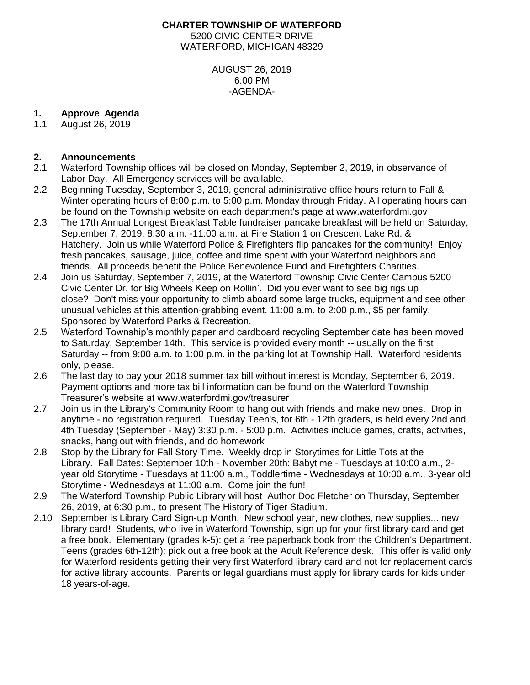### **CHARTER TOWNSHIP OF WATERFORD** 5200 CIVIC CENTER DRIVE WATERFORD, MICHIGAN 48329

AUGUST 26, 2019 6:00 PM -AGENDA-

#### **1. Approve Agenda**

1.1 August 26, 2019

### **2. Announcements**

- 2.1 Waterford Township offices will be closed on Monday, September 2, 2019, in observance of Labor Day. All Emergency services will be available.
- 2.2 Beginning Tuesday, September 3, 2019, general administrative office hours return to Fall & Winter operating hours of 8:00 p.m. to 5:00 p.m. Monday through Friday. All operating hours can be found on the Township website on each department's page at www.waterfordmi.gov
- 2.3 The 17th Annual Longest Breakfast Table fundraiser pancake breakfast will be held on Saturday, September 7, 2019, 8:30 a.m. -11:00 a.m. at Fire Station 1 on Crescent Lake Rd. & Hatchery. Join us while Waterford Police & Firefighters flip pancakes for the community! Enjoy fresh pancakes, sausage, juice, coffee and time spent with your Waterford neighbors and friends. All proceeds benefit the Police Benevolence Fund and Firefighters Charities.
- 2.4 Join us Saturday, September 7, 2019, at the Waterford Township Civic Center Campus 5200 Civic Center Dr. for Big Wheels Keep on Rollin'. Did you ever want to see big rigs up close? Don't miss your opportunity to climb aboard some large trucks, equipment and see other unusual vehicles at this attention-grabbing event. 11:00 a.m. to 2:00 p.m., \$5 per family. Sponsored by Waterford Parks & Recreation.
- 2.5 Waterford Township's monthly paper and cardboard recycling September date has been moved to Saturday, September 14th. This service is provided every month -- usually on the first Saturday -- from 9:00 a.m. to 1:00 p.m. in the parking lot at Township Hall. Waterford residents only, please.
- 2.6 The last day to pay your 2018 summer tax bill without interest is Monday, September 6, 2019. Payment options and more tax bill information can be found on the Waterford Township Treasurer's website at www.waterfordmi.gov/treasurer
- 2.7 Join us in the Library's Community Room to hang out with friends and make new ones. Drop in anytime - no registration required. Tuesday Teen's, for 6th - 12th graders, is held every 2nd and 4th Tuesday (September - May) 3:30 p.m. - 5:00 p.m. Activities include games, crafts, activities, snacks, hang out with friends, and do homework
- 2.8 Stop by the Library for Fall Story Time. Weekly drop in Storytimes for Little Tots at the Library. Fall Dates: September 10th - November 20th: Babytime - Tuesdays at 10:00 a.m., 2 year old Storytime - Tuesdays at 11:00 a.m., Toddlertime - Wednesdays at 10:00 a.m., 3-year old Storytime - Wednesdays at 11:00 a.m. Come join the fun!
- 2.9 The Waterford Township Public Library will host Author Doc Fletcher on Thursday, September 26, 2019, at 6:30 p.m., to present The History of Tiger Stadium.
- 2.10 September is Library Card Sign-up Month. New school year, new clothes, new supplies....new library card! Students, who live in Waterford Township, sign up for your first library card and get a free book. Elementary (grades k-5): get a free paperback book from the Children's Department. Teens (grades 6th-12th): pick out a free book at the Adult Reference desk. This offer is valid only for Waterford residents getting their very first Waterford library card and not for replacement cards for active library accounts. Parents or legal guardians must apply for library cards for kids under 18 years-of-age.